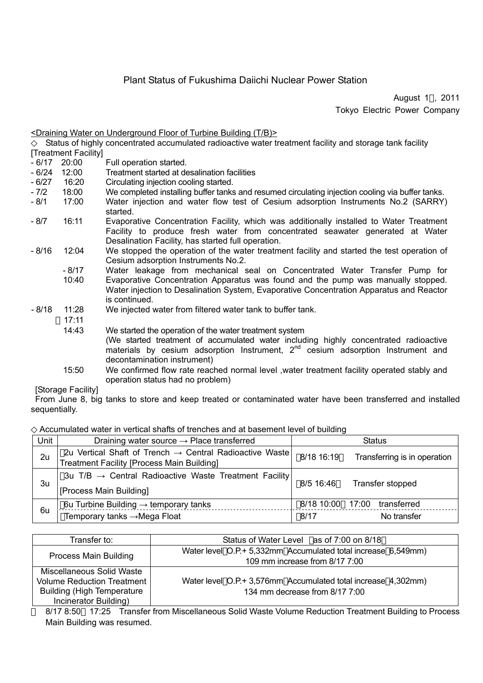# Plant Status of Fukushima Daiichi Nuclear Power Station

August 1 , 2011 Tokyo Electric Power Company

|                      |        | Status of highly concentrated accumulated radioactive water treatment facility and storage tank facility                                                                                                                       |  |
|----------------------|--------|--------------------------------------------------------------------------------------------------------------------------------------------------------------------------------------------------------------------------------|--|
| [Treatment Facility] |        |                                                                                                                                                                                                                                |  |
| - 6/17               | 20:00  | Full operation started.                                                                                                                                                                                                        |  |
| - 6/24               | 12:00  | Treatment started at desalination facilities                                                                                                                                                                                   |  |
| - 6/27               | 16:20  | Circulating injection cooling started.                                                                                                                                                                                         |  |
| - 7/2                | 18:00  | We completed installing buffer tanks and resumed circulating injection cooling via buffer tanks.                                                                                                                               |  |
| - 8/1                | 17:00  | Water injection and water flow test of Cesium adsorption Instruments No.2 (SARRY)<br>started.                                                                                                                                  |  |
| - 8/7                | 16:11  | Evaporative Concentration Facility, which was additionally installed to Water Treatment<br>Facility to produce fresh water from concentrated seawater generated at Water<br>Desalination Facility, has started full operation. |  |
| - 8/16               | 12:04  | We stopped the operation of the water treatment facility and started the test operation of<br>Cesium adsorption Instruments No.2.                                                                                              |  |
|                      | - 8/17 | Water leakage from mechanical seal on Concentrated Water Transfer Pump for                                                                                                                                                     |  |
|                      | 10:40  | Evaporative Concentration Apparatus was found and the pump was manually stopped.<br>Water injection to Desalination System, Evaporative Concentration Apparatus and Reactor<br>is continued.                                   |  |
| - 8/18               | 11:28  | We injected water from filtered water tank to buffer tank.                                                                                                                                                                     |  |
|                      | 17:11  |                                                                                                                                                                                                                                |  |
|                      | 14:43  | We started the operation of the water treatment system                                                                                                                                                                         |  |
|                      |        | (We started treatment of accumulated water including highly concentrated radioactive<br>materials by cesium adsorption Instrument, $2^{nd}$ cesium adsorption Instrument and<br>decontamination instrument)                    |  |
|                      | 15:50  | We confirmed flow rate reached normal level, water treatment facility operated stably and<br>operation status had no problem)                                                                                                  |  |

[Storage Facility]

From June 8, big tanks to store and keep treated or contaminated water have been transferred and installed sequentially.

Accumulated water in vertical shafts of trenches and at basement level of building

<Draining Water on Underground Floor of Turbine Building (T/B)>

| Unit | Draining water source $\rightarrow$ Place transferred                                                                    | <b>Status</b>      |                                     |  |
|------|--------------------------------------------------------------------------------------------------------------------------|--------------------|-------------------------------------|--|
| 2u   | 2u Vertical Shaft of Trench $\rightarrow$ Central Radioactive Waste<br><b>Treatment Facility [Process Main Building]</b> | 8/18 16:19         | Transferring is in operation        |  |
| 3u   | 3u T/B $\rightarrow$ Central Radioactive Waste Treatment Facility<br>[Process Main Building]                             | 8/5 16:46          | Transfer stopped                    |  |
| 6u   | 6u Turbine Building $\rightarrow$ temporary tanks<br>Temporary tanks →Mega Float                                         | 8/18 10:00<br>8/17 | transferred<br>17:00<br>No transfer |  |

| Transfer to:                      | Status of Water Level as of 7:00 on 8/18                                                        |  |
|-----------------------------------|-------------------------------------------------------------------------------------------------|--|
|                                   | Water level O.P.+ 5,332mm Accumulated total increase 6,549mm)                                   |  |
| <b>Process Main Building</b>      | 109 mm increase from 8/17 7:00                                                                  |  |
| Miscellaneous Solid Waste         |                                                                                                 |  |
| Volume Reduction Treatment        | Water level O.P.+ 3,576mm Accumulated total increase 4,302mm)<br>134 mm decrease from 8/17 7:00 |  |
| <b>Building (High Temperature</b> |                                                                                                 |  |
| Incinerator Building)             |                                                                                                 |  |

8/17 8:50 17:25 Transfer from Miscellaneous Solid Waste Volume Reduction Treatment Building to Process Main Building was resumed.